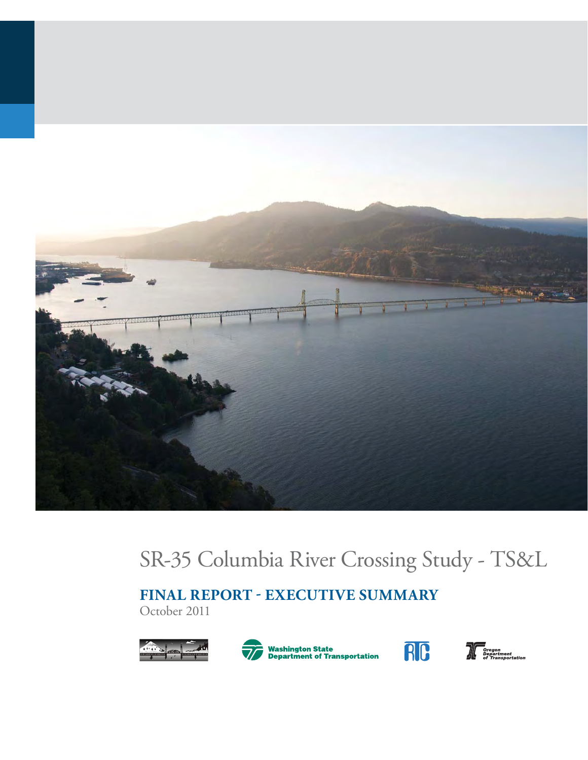

# SR-35 Columbia River Crossing Study - TS&L

**FINAL REPORT - EXECUTIVE SUMMARY**

October 2011





**Washington State<br>Department of Transportation** 



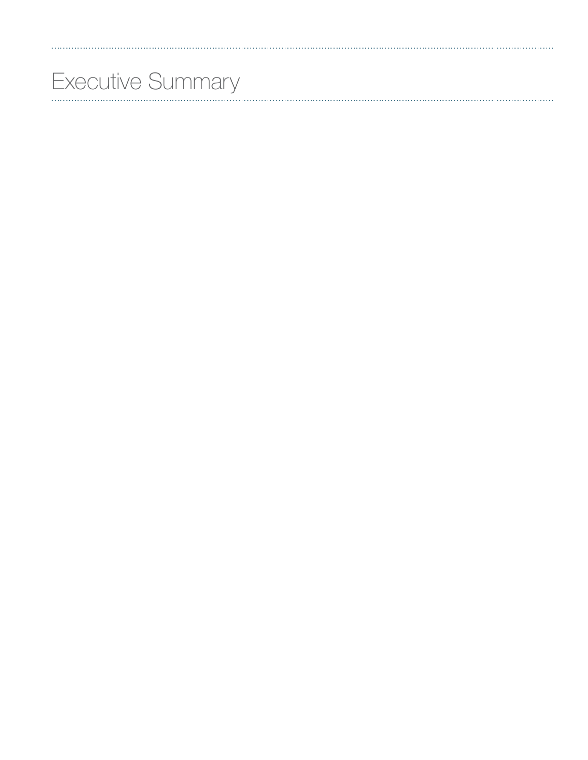# Executive Summary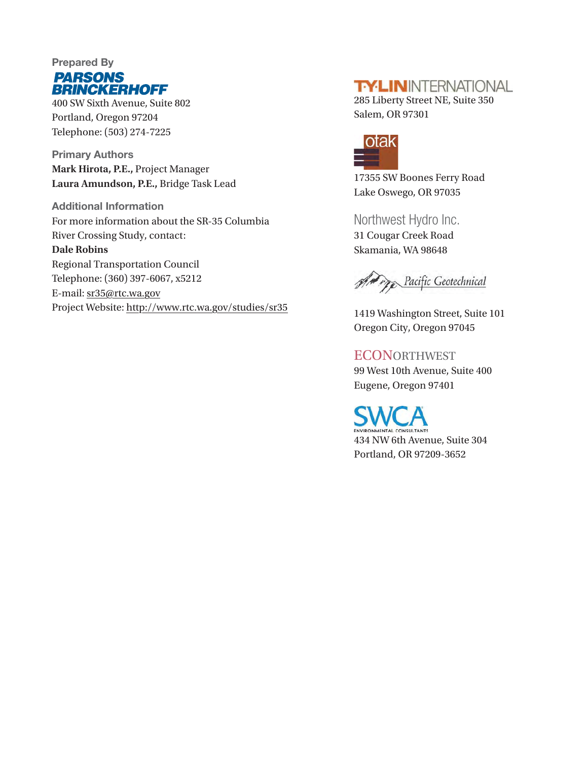

400 SW Sixth Avenue, Suite 802 Portland, Oregon 97204 Telephone: (503) 274-7225

**Primary Authors Mark Hirota, P.E.,** Project Manager **Laura Amundson, P.E.,** Bridge Task Lead

**Additional Information** For more information about the SR-35 Columbia River Crossing Study, contact: **Dale Robins** Regional Transportation Council Telephone: (360) 397-6067, x5212 E-mail: sr35@rtc.wa.gov Project Website: http://www.rtc.wa.gov/studies/sr35

#### **TY-LININTERNATIONAL**

285 Liberty Street NE, Suite 350 Salem, OR 97301



17355 SW Boones Ferry Road Lake Oswego, OR 97035

Northwest Hydro Inc. 31 Cougar Creek Road Skamania, WA 98648

And Pacific Geotechnical

1419 Washington Street, Suite 101 Oregon City, Oregon 97045

**ECONORTHWEST** 99 West 10th Avenue, Suite 400 Eugene, Oregon 97401

MENTAL CONSULTANTS 434 NW 6th Avenue, Suite 304 Portland, OR 97209-3652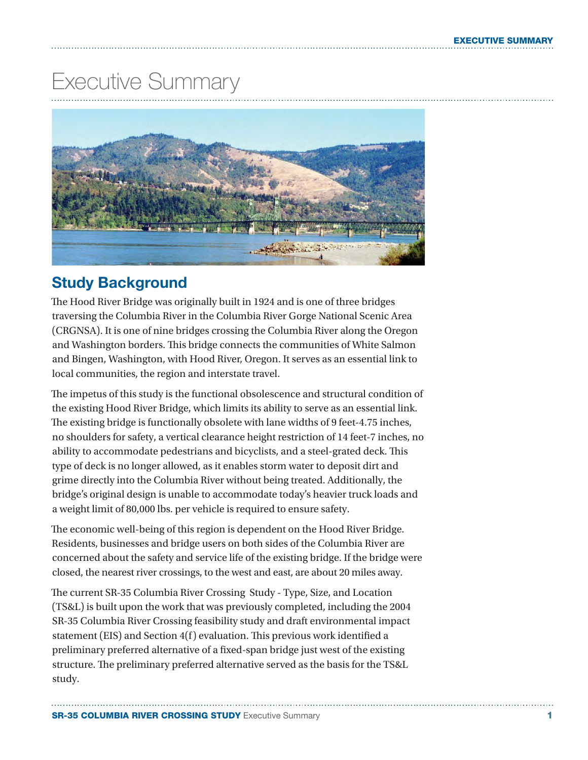## Executive Summary



#### **Study Background**

The Hood River Bridge was originally built in 1924 and is one of three bridges traversing the Columbia River in the Columbia River Gorge National Scenic Area (CRGNSA). It is one of nine bridges crossing the Columbia River along the Oregon and Washington borders. This bridge connects the communities of White Salmon and Bingen, Washington, with Hood River, Oregon. It serves as an essential link to local communities, the region and interstate travel.

The impetus of this study is the functional obsolescence and structural condition of the existing Hood River Bridge, which limits its ability to serve as an essential link. The existing bridge is functionally obsolete with lane widths of 9 feet-4.75 inches, no shoulders for safety, a vertical clearance height restriction of 14 feet-7 inches, no ability to accommodate pedestrians and bicyclists, and a steel-grated deck. This type of deck is no longer allowed, as it enables storm water to deposit dirt and grime directly into the Columbia River without being treated. Additionally, the bridge's original design is unable to accommodate today's heavier truck loads and a weight limit of 80,000 lbs. per vehicle is required to ensure safety.

The economic well-being of this region is dependent on the Hood River Bridge. Residents, businesses and bridge users on both sides of the Columbia River are concerned about the safety and service life of the existing bridge. If the bridge were closed, the nearest river crossings, to the west and east, are about 20 miles away.

The current SR-35 Columbia River Crossing Study - Type, Size, and Location (TS&L) is built upon the work that was previously completed, including the 2004 SR-35 Columbia River Crossing feasibility study and draft environmental impact statement (EIS) and Section 4(f) evaluation. This previous work identified a preliminary preferred alternative of a fixed-span bridge just west of the existing structure. The preliminary preferred alternative served as the basis for the TS&L study.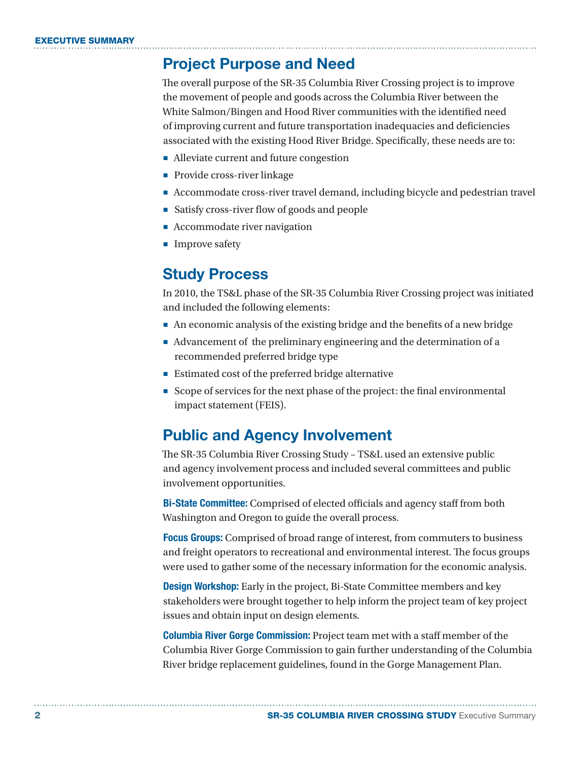#### **Project Purpose and Need**

The overall purpose of the SR-35 Columbia River Crossing project is to improve the movement of people and goods across the Columbia River between the White Salmon/Bingen and Hood River communities with the identified need of improving current and future transportation inadequacies and deficiencies associated with the existing Hood River Bridge. Specifically, these needs are to:

- Alleviate current and future congestion
- Provide cross-river linkage
- Accommodate cross-river travel demand, including bicycle and pedestrian travel
- Satisfy cross-river flow of goods and people
- Accommodate river navigation
- Improve safety

#### **Study Process**

In 2010, the TS&L phase of the SR-35 Columbia River Crossing project was initiated and included the following elements:

- An economic analysis of the existing bridge and the benefits of a new bridge
- Advancement of the preliminary engineering and the determination of a recommended preferred bridge type
- Estimated cost of the preferred bridge alternative
- Scope of services for the next phase of the project: the final environmental impact statement (FEIS).

#### **Public and Agency Involvement**

The SR-35 Columbia River Crossing Study – TS&L used an extensive public and agency involvement process and included several committees and public involvement opportunities.

**Bi-State Committee:** Comprised of elected officials and agency staff from both Washington and Oregon to guide the overall process.

**Focus Groups:** Comprised of broad range of interest, from commuters to business and freight operators to recreational and environmental interest. The focus groups were used to gather some of the necessary information for the economic analysis.

**Design Workshop:** Early in the project, Bi-State Committee members and key stakeholders were brought together to help inform the project team of key project issues and obtain input on design elements.

**Columbia River Gorge Commission:** Project team met with a staff member of the Columbia River Gorge Commission to gain further understanding of the Columbia River bridge replacement guidelines, found in the Gorge Management Plan.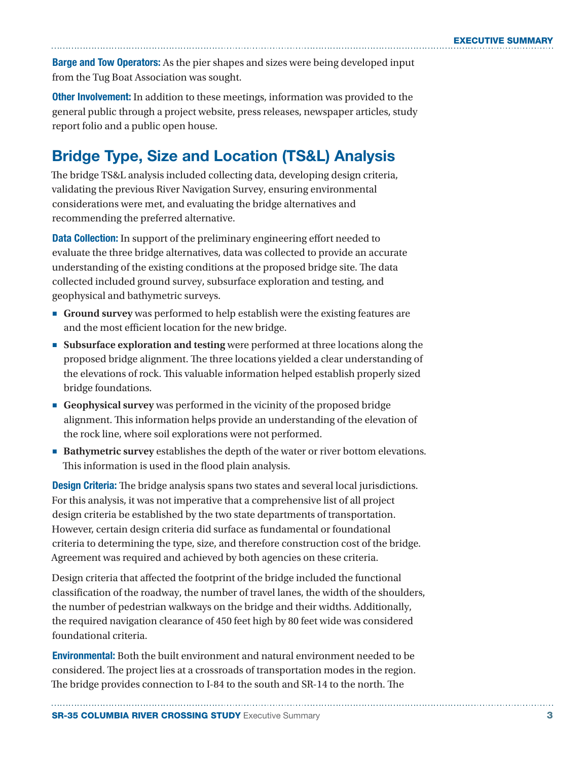**Barge and Tow Operators:** As the pier shapes and sizes were being developed input from the Tug Boat Association was sought.

**Other Involvement:** In addition to these meetings, information was provided to the general public through a project website, press releases, newspaper articles, study report folio and a public open house.

## **Bridge Type, Size and Location (TS&L) Analysis**

The bridge TS&L analysis included collecting data, developing design criteria, validating the previous River Navigation Survey, ensuring environmental considerations were met, and evaluating the bridge alternatives and recommending the preferred alternative.

**Data Collection:** In support of the preliminary engineering effort needed to evaluate the three bridge alternatives, data was collected to provide an accurate understanding of the existing conditions at the proposed bridge site. The data collected included ground survey, subsurface exploration and testing, and geophysical and bathymetric surveys.

- **Ground survey** was performed to help establish were the existing features are and the most efficient location for the new bridge.
- **Subsurface exploration and testing** were performed at three locations along the proposed bridge alignment. The three locations yielded a clear understanding of the elevations of rock. This valuable information helped establish properly sized bridge foundations.
- **Geophysical survey** was performed in the vicinity of the proposed bridge alignment. This information helps provide an understanding of the elevation of the rock line, where soil explorations were not performed.
- **Bathymetric survey** establishes the depth of the water or river bottom elevations. This information is used in the flood plain analysis.

**Design Criteria:** The bridge analysis spans two states and several local jurisdictions. For this analysis, it was not imperative that a comprehensive list of all project design criteria be established by the two state departments of transportation. However, certain design criteria did surface as fundamental or foundational criteria to determining the type, size, and therefore construction cost of the bridge. Agreement was required and achieved by both agencies on these criteria.

Design criteria that affected the footprint of the bridge included the functional classification of the roadway, the number of travel lanes, the width of the shoulders, the number of pedestrian walkways on the bridge and their widths. Additionally, the required navigation clearance of 450 feet high by 80 feet wide was considered foundational criteria.

**Environmental:** Both the built environment and natural environment needed to be considered. The project lies at a crossroads of transportation modes in the region. The bridge provides connection to I-84 to the south and SR-14 to the north. The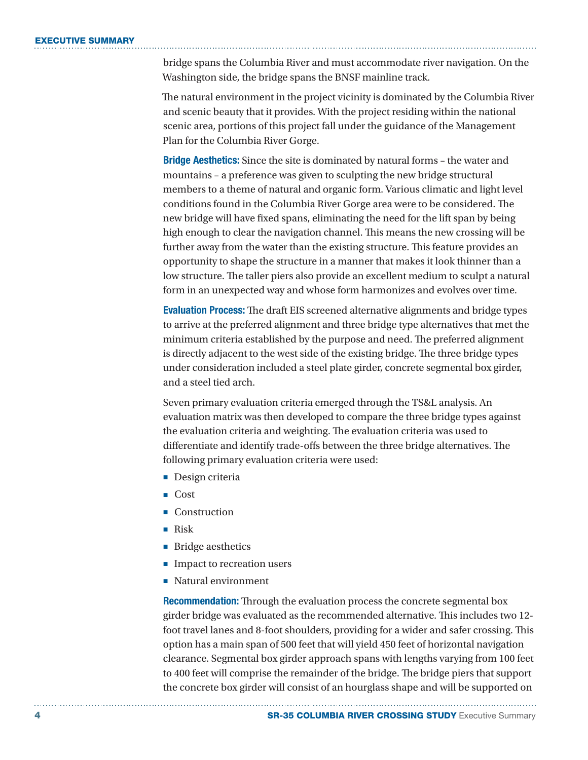#### **EXECUTIVE SUMMARY**

bridge spans the Columbia River and must accommodate river navigation. On the Washington side, the bridge spans the BNSF mainline track.

The natural environment in the project vicinity is dominated by the Columbia River and scenic beauty that it provides. With the project residing within the national scenic area, portions of this project fall under the guidance of the Management Plan for the Columbia River Gorge.

**Bridge Aesthetics:** Since the site is dominated by natural forms – the water and mountains – a preference was given to sculpting the new bridge structural members to a theme of natural and organic form. Various climatic and light level conditions found in the Columbia River Gorge area were to be considered. The new bridge will have fixed spans, eliminating the need for the lift span by being high enough to clear the navigation channel. This means the new crossing will be further away from the water than the existing structure. This feature provides an opportunity to shape the structure in a manner that makes it look thinner than a low structure. The taller piers also provide an excellent medium to sculpt a natural form in an unexpected way and whose form harmonizes and evolves over time.

**Evaluation Process:** The draft EIS screened alternative alignments and bridge types to arrive at the preferred alignment and three bridge type alternatives that met the minimum criteria established by the purpose and need. The preferred alignment is directly adjacent to the west side of the existing bridge. The three bridge types under consideration included a steel plate girder, concrete segmental box girder, and a steel tied arch.

Seven primary evaluation criteria emerged through the TS&L analysis. An evaluation matrix was then developed to compare the three bridge types against the evaluation criteria and weighting. The evaluation criteria was used to differentiate and identify trade-offs between the three bridge alternatives. The following primary evaluation criteria were used:

- Design criteria
- Cost
- Construction
- Risk
- Bridge aesthetics
- Impact to recreation users
- Natural environment

**Recommendation:** Through the evaluation process the concrete segmental box girder bridge was evaluated as the recommended alternative. This includes two 12 foot travel lanes and 8-foot shoulders, providing for a wider and safer crossing. This option has a main span of 500 feet that will yield 450 feet of horizontal navigation clearance. Segmental box girder approach spans with lengths varying from 100 feet to 400 feet will comprise the remainder of the bridge. The bridge piers that support the concrete box girder will consist of an hourglass shape and will be supported on

**4 SR-35 COLUMBIA RIVER CROSSING STUDY** Executive Summary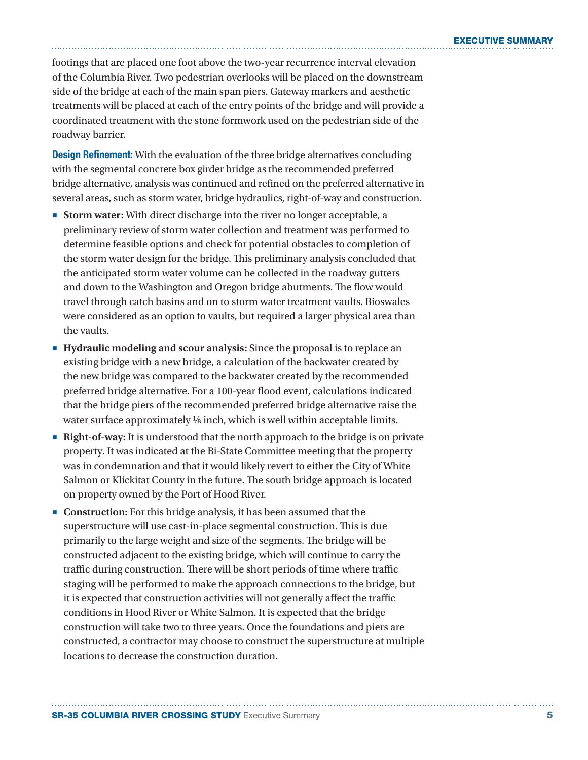footings that are placed one foot above the two-year recurrence interval elevation of the Columbia River. Two pedestrian overlooks will be placed on the downstream side of the bridge at each of the main span piers. Gateway markers and aesthetic treatments will be placed at each of the entry points of the bridge and will provide a coordinated treatment with the stone formwork used on the pedestrian side of the roadway barrier.

**Design Refinement:** With the evaluation of the three bridge alternatives concluding with the segmental concrete box girder bridge as the recommended preferred bridge alternative, analysis was continued and refined on the preferred alternative in several areas, such as storm water, bridge hydraulics, right-of-way and construction.

- **Storm water:** With direct discharge into the river no longer acceptable, a preliminary review of storm water collection and treatment was performed to determine feasible options and check for potential obstacles to completion of the storm water design for the bridge. This preliminary analysis concluded that the anticipated storm water volume can be collected in the roadway gutters and down to the Washington and Oregon bridge abutments. The flow would travel through catch basins and on to storm water treatment vaults. Bioswales were considered as an option to vaults, but required a larger physical area than the vaults.
- **Hydraulic modeling and scour analysis:** Since the proposal is to replace an existing bridge with a new bridge, a calculation of the backwater created by the new bridge was compared to the backwater created by the recommended preferred bridge alternative. For a 100-year flood event, calculations indicated that the bridge piers of the recommended preferred bridge alternative raise the water surface approximately ¼ inch, which is well within acceptable limits.
- **Right-of-way:** It is understood that the north approach to the bridge is on private property. It was indicated at the Bi-State Committee meeting that the property was in condemnation and that it would likely revert to either the City of White Salmon or Klickitat County in the future. The south bridge approach is located on property owned by the Port of Hood River.
- **Construction:** For this bridge analysis, it has been assumed that the superstructure will use cast-in-place segmental construction. This is due primarily to the large weight and size of the segments. The bridge will be constructed adjacent to the existing bridge, which will continue to carry the traffic during construction. There will be short periods of time where traffic staging will be performed to make the approach connections to the bridge, but it is expected that construction activities will not generally affect the traffic conditions in Hood River or White Salmon. It is expected that the bridge construction will take two to three years. Once the foundations and piers are constructed, a contractor may choose to construct the superstructure at multiple locations to decrease the construction duration.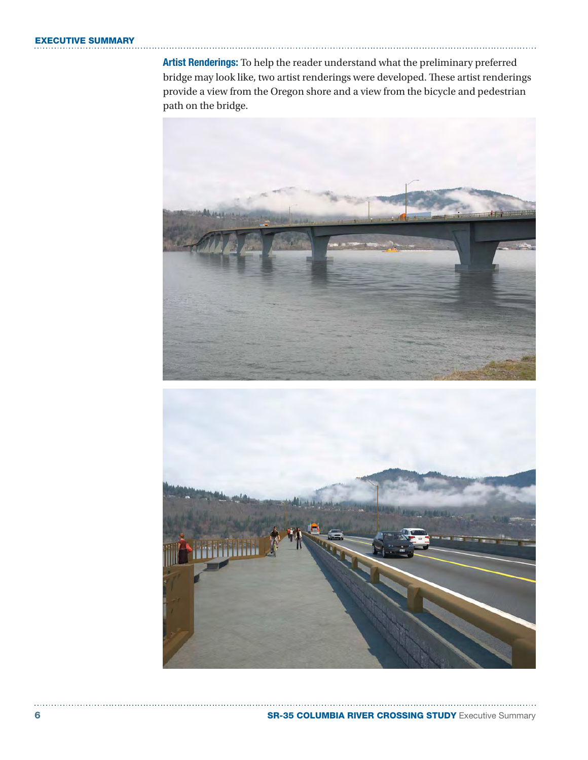#### **EXECUTIVE SUMMARY**

**Artist Renderings:** To help the reader understand what the preliminary preferred bridge may look like, two artist renderings were developed. These artist renderings provide a view from the Oregon shore and a view from the bicycle and pedestrian path on the bridge.